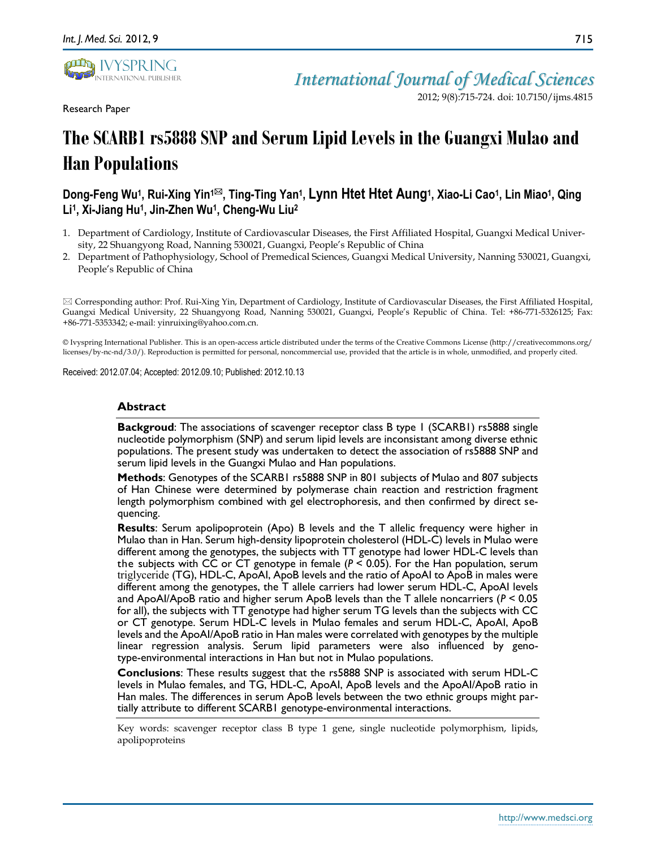

Research Paper

2012; 9(8):715-724. doi: 10.7150/ijms.4815

# **The SCARB1 rs5888 SNP and Serum Lipid Levels in the Guangxi Mulao and Han Populations**

## Dong-Feng Wu1, Rui-Xing Yin1⊠, Ting-Ting Yan1, Lynn Htet Htet Aung1, Xiao-Li Cao1, Lin Miao1, Qing **Li<sup>1</sup> , Xi-Jiang Hu<sup>1</sup> , Jin-Zhen Wu<sup>1</sup> , Cheng-Wu Liu<sup>2</sup>**

- 1. Department of Cardiology, Institute of Cardiovascular Diseases, the First Affiliated Hospital, Guangxi Medical University, 22 Shuangyong Road, Nanning 530021, Guangxi, People's Republic of China
- 2. Department of Pathophysiology, School of Premedical Sciences, Guangxi Medical University, Nanning 530021, Guangxi, People's Republic of China

 Corresponding author: Prof. Rui-Xing Yin, Department of Cardiology, Institute of Cardiovascular Diseases, the First Affiliated Hospital, Guangxi Medical University, 22 Shuangyong Road, Nanning 530021, Guangxi, People's Republic of China. Tel: +86-771-5326125; Fax: +86-771-5353342; e-mail: yinruixing@yahoo.com.cn.

© Ivyspring International Publisher. This is an open-access article distributed under the terms of the Creative Commons License (http://creativecommons.org/ licenses/by-nc-nd/3.0/). Reproduction is permitted for personal, noncommercial use, provided that the article is in whole, unmodified, and properly cited.

Received: 2012.07.04; Accepted: 2012.09.10; Published: 2012.10.13

### **Abstract**

**Backgroud**: The associations of scavenger receptor class B type 1 (SCARB1) rs5888 single nucleotide polymorphism (SNP) and serum lipid levels are inconsistant among diverse ethnic populations. The present study was undertaken to detect the association of rs5888 SNP and serum lipid levels in the Guangxi Mulao and Han populations.

**Methods**: Genotypes of the SCARB1 rs5888 SNP in 801 subjects of Mulao and 807 subjects of Han Chinese were determined by polymerase chain reaction and restriction fragment length polymorphism combined with gel electrophoresis, and then confirmed by direct sequencing.

**Results**: Serum apolipoprotein (Apo) B levels and the T allelic frequency were higher in Mulao than in Han. Serum high-density lipoprotein cholesterol (HDL-C) levels in Mulao were different among the genotypes, the subjects with TT genotype had lower HDL-C levels than the subjects with CC or CT genotype in female ( $P < 0.05$ ). For the Han population, serum triglyceride (TG), HDL-C, ApoAI, ApoB levels and the ratio of ApoAI to ApoB in males were different among the genotypes, the T allele carriers had lower serum HDL-C, ApoAI levels and ApoAI/ApoB ratio and higher serum ApoB levels than the T allele noncarriers (*P* < 0.05 for all), the subjects with TT genotype had higher serum TG levels than the subjects with CC or CT genotype. Serum HDL-C levels in Mulao females and serum HDL-C, ApoAI, ApoB levels and the ApoAI/ApoB ratio in Han males were correlated with genotypes by the multiple linear regression analysis. Serum lipid parameters were also influenced by genotype-environmental interactions in Han but not in Mulao populations.

**Conclusions**: These results suggest that the rs5888 SNP is associated with serum HDL-C levels in Mulao females, and TG, HDL-C, ApoAI, ApoB levels and the ApoAI/ApoB ratio in Han males. The differences in serum ApoB levels between the two ethnic groups might partially attribute to different SCARB1 genotype-environmental interactions.

Key words: scavenger receptor class B type 1 gene, single nucleotide polymorphism, lipids, apolipoproteins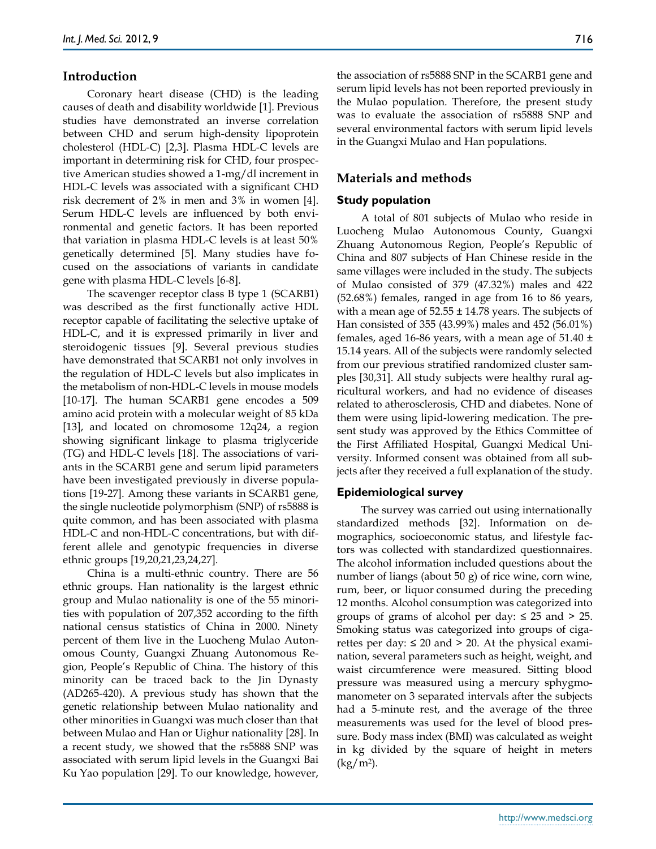## **Introduction**

Coronary heart disease (CHD) is the leading causes of death and disability worldwide [1]. Previous studies have demonstrated an inverse correlation between CHD and serum high-density lipoprotein cholesterol (HDL-C) [2,3]. Plasma HDL-C levels are important in determining risk for CHD, four prospective American studies showed a 1-mg/dl increment in HDL-C levels was associated with a significant CHD risk decrement of 2% in men and 3% in women [4]. Serum HDL-C levels are influenced by both environmental and genetic factors. It has been reported that variation in plasma HDL-C levels is at least 50% genetically determined [5]. Many studies have focused on the associations of variants in candidate gene with plasma HDL-C levels [6-8].

The scavenger receptor class B type 1 (SCARB1) was described as the first functionally active HDL receptor capable of facilitating the selective uptake of HDL-C, and it is expressed primarily in liver and steroidogenic tissues [9]. Several previous studies have demonstrated that SCARB1 not only involves in the regulation of HDL-C levels but also implicates in the metabolism of non-HDL-C levels in mouse models [10-17]. The human SCARB1 gene encodes a 509 amino acid protein with a molecular weight of 85 kDa [13], and located on chromosome 12q24, a region showing significant linkage to plasma triglyceride (TG) and HDL-C levels [18]. The associations of variants in the SCARB1 gene and serum lipid parameters have been investigated previously in diverse populations [19-27]. Among these variants in SCARB1 gene, the single nucleotide polymorphism (SNP) of rs5888 is quite common, and has been associated with plasma HDL-C and non-HDL-C concentrations, but with different allele and genotypic frequencies in diverse ethnic groups [19,20,21,23,24,27].

China is a multi-ethnic country. There are 56 ethnic groups. Han nationality is the largest ethnic group and Mulao nationality is one of the 55 minorities with population of 207,352 according to the fifth national census statistics of China in 2000. Ninety percent of them live in the Luocheng Mulao Autonomous County, Guangxi Zhuang Autonomous Region, People's Republic of China. The history of this minority can be traced back to the Jin Dynasty (AD265-420). A previous study has shown that the genetic relationship between Mulao nationality and other minorities in Guangxi was much closer than that between Mulao and Han or Uighur nationality [28]. In a recent study, we showed that the rs5888 SNP was associated with serum lipid levels in the Guangxi Bai Ku Yao population [29]. To our knowledge, however,

the association of rs5888 SNP in the SCARB1 gene and serum lipid levels has not been reported previously in the Mulao population. Therefore, the present study was to evaluate the association of rs5888 SNP and several environmental factors with serum lipid levels in the Guangxi Mulao and Han populations.

## **Materials and methods**

### **Study population**

A total of 801 subjects of Mulao who reside in Luocheng Mulao Autonomous County, Guangxi Zhuang Autonomous Region, People's Republic of China and 807 subjects of Han Chinese reside in the same villages were included in the study. The subjects of Mulao consisted of 379 (47.32%) males and 422 (52.68%) females, ranged in age from 16 to 86 years, with a mean age of  $52.55 \pm 14.78$  years. The subjects of Han consisted of 355 (43.99%) males and 452 (56.01%) females, aged 16-86 years, with a mean age of  $51.40 \pm$ 15.14 years. All of the subjects were randomly selected from our previous stratified randomized cluster samples [30,31]. All study subjects were healthy rural agricultural workers, and had no evidence of diseases related to atherosclerosis, CHD and diabetes. None of them were using lipid-lowering medication. The present study was approved by the Ethics Committee of the First Affiliated Hospital, Guangxi Medical University. Informed consent was obtained from all subjects after they received a full explanation of the study.

#### **Epidemiological survey**

The survey was carried out using internationally standardized methods [32]. Information on demographics, socioeconomic status, and lifestyle factors was collected with standardized questionnaires. The alcohol information included questions about the number of liangs (about 50 g) of rice wine, corn wine, rum, beer, or liquor consumed during the preceding 12 months. Alcohol consumption was categorized into groups of grams of alcohol per day:  $\leq 25$  and  $> 25$ . Smoking status was categorized into groups of cigarettes per day: ≤ 20 and > 20. At the physical examination, several parameters such as height, weight, and waist circumference were measured. Sitting blood pressure was measured using a mercury sphygmomanometer on 3 separated intervals after the subjects had a 5-minute rest, and the average of the three measurements was used for the level of blood pressure. Body mass index (BMI) was calculated as weight in kg divided by the square of height in meters (kg/m<sup>2</sup> ).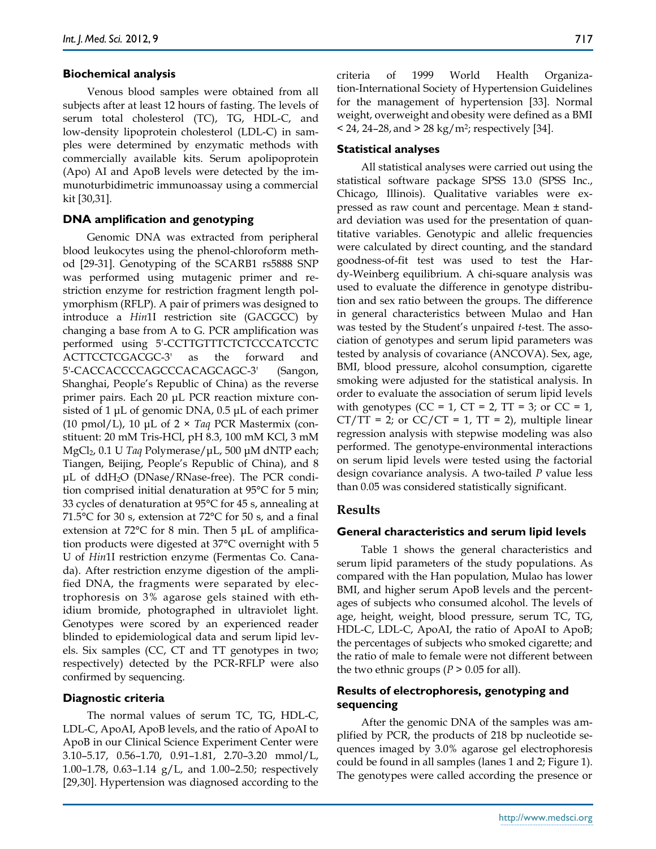## **Biochemical analysis**

Venous blood samples were obtained from all subjects after at least 12 hours of fasting. The levels of serum total cholesterol (TC), TG, HDL-C, and low-density lipoprotein cholesterol (LDL-C) in samples were determined by enzymatic methods with commercially available kits. Serum apolipoprotein (Apo) AI and ApoB levels were detected by the immunoturbidimetric immunoassay using a commercial kit [30,31].

## **DNA amplification and genotyping**

Genomic DNA was extracted from peripheral blood leukocytes using the phenol-chloroform method [29-31]. Genotyping of the SCARB1 rs5888 SNP was performed using mutagenic primer and restriction enzyme for restriction fragment length polymorphism (RFLP). A pair of primers was designed to introduce a *Hin*1I restriction site (GACGCC) by changing a base from A to G. PCR amplification was performed using 5'-CCTTGTTTCTCTCCCATCCTC ACTTCCTCGACGC-3' as the forward and 5'-CACCACCCCAGCCCACAGCAGC-3' (Sangon, Shanghai, People's Republic of China) as the reverse primer pairs. Each 20 μL PCR reaction mixture consisted of 1 μL of genomic DNA, 0.5 μL of each primer (10 pmol/L), 10 μL of 2 × *Taq* PCR Mastermix (constituent: 20 mM Tris-HCl, pH 8.3, 100 mM KCl, 3 mM MgCl2, 0.1 U *Taq* Polymerase/μL, 500 μM dNTP each; Tiangen, Beijing, People's Republic of China), and 8 μL of ddH2O (DNase/RNase-free). The PCR condition comprised initial denaturation at 95°C for 5 min; 33 cycles of denaturation at 95°C for 45 s, annealing at 71.5°C for 30 s, extension at 72°C for 50 s, and a final extension at 72°C for 8 min. Then 5 μL of amplification products were digested at 37°C overnight with 5 U of *Hin*1I restriction enzyme (Fermentas Co. Canada). After restriction enzyme digestion of the amplified DNA, the fragments were separated by electrophoresis on 3% agarose gels stained with ethidium bromide, photographed in ultraviolet light. Genotypes were scored by an experienced reader blinded to epidemiological data and serum lipid levels. Six samples (CC, CT and TT genotypes in two; respectively) detected by the PCR-RFLP were also confirmed by sequencing.

## **Diagnostic criteria**

The normal values of serum TC, TG, HDL-C, LDL-C, ApoAI, ApoB levels, and the ratio of ApoAI to ApoB in our Clinical Science Experiment Center were 3.10–5.17, 0.56–1.70, 0.91–1.81, 2.70–3.20 mmol/L, 1.00–1.78, 0.63–1.14 g/L, and 1.00–2.50; respectively [29,30]. Hypertension was diagnosed according to the criteria of 1999 World Health Organization-International Society of Hypertension Guidelines for the management of hypertension [33]. Normal weight, overweight and obesity were defined as a BMI  $<$  24, 24–28, and  $>$  28 kg/m<sup>2</sup>; respectively [34].

## **Statistical analyses**

All statistical analyses were carried out using the statistical software package SPSS 13.0 (SPSS Inc., Chicago, Illinois). Qualitative variables were expressed as raw count and percentage. Mean ± standard deviation was used for the presentation of quantitative variables. Genotypic and allelic frequencies were calculated by direct counting, and the standard goodness-of-fit test was used to test the Hardy-Weinberg equilibrium. A chi-square analysis was used to evaluate the difference in genotype distribution and sex ratio between the groups. The difference in general characteristics between Mulao and Han was tested by the Student's unpaired *t*-test. The association of genotypes and serum lipid parameters was tested by analysis of covariance (ANCOVA). Sex, age, BMI, blood pressure, alcohol consumption, cigarette smoking were adjusted for the statistical analysis. In order to evaluate the association of serum lipid levels with genotypes (CC = 1, CT = 2, TT = 3; or CC = 1,  $CT/TT = 2$ ; or  $CC/CT = 1$ ,  $TT = 2$ ), multiple linear regression analysis with stepwise modeling was also performed. The genotype-environmental interactions on serum lipid levels were tested using the factorial design covariance analysis. A two-tailed *P* value less than 0.05 was considered statistically significant.

## **Results**

## **General characteristics and serum lipid levels**

Table 1 shows the general characteristics and serum lipid parameters of the study populations. As compared with the Han population, Mulao has lower BMI, and higher serum ApoB levels and the percentages of subjects who consumed alcohol. The levels of age, height, weight, blood pressure, serum TC, TG, HDL-C, LDL-C, ApoAI, the ratio of ApoAI to ApoB; the percentages of subjects who smoked cigarette; and the ratio of male to female were not different between the two ethnic groups ( $P > 0.05$  for all).

## **Results of electrophoresis, genotyping and sequencing**

After the genomic DNA of the samples was amplified by PCR, the products of 218 bp nucleotide sequences imaged by 3.0% agarose gel electrophoresis could be found in all samples (lanes 1 and 2; Figure 1). The genotypes were called according the presence or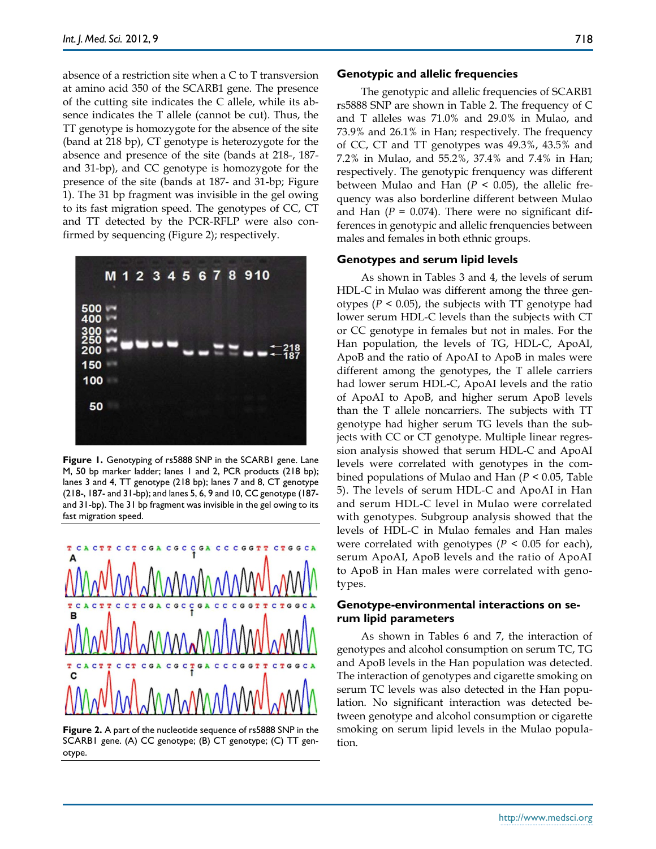absence of a restriction site when a C to T transversion at amino acid 350 of the SCARB1 gene. The presence of the cutting site indicates the C allele, while its absence indicates the T allele (cannot be cut). Thus, the TT genotype is homozygote for the absence of the site (band at 218 bp), CT genotype is heterozygote for the absence and presence of the site (bands at 218-, 187 and 31-bp), and CC genotype is homozygote for the presence of the site (bands at 187- and 31-bp; Figure 1). The 31 bp fragment was invisible in the gel owing to its fast migration speed. The genotypes of CC, CT and TT detected by the PCR-RFLP were also confirmed by sequencing (Figure 2); respectively.



**Figure 1.** Genotyping of rs5888 SNP in the SCARB1 gene. Lane M, 50 bp marker ladder; lanes 1 and 2, PCR products (218 bp); lanes 3 and 4, TT genotype (218 bp); lanes 7 and 8, CT genotype (218-, 187- and 31-bp); and lanes 5, 6, 9 and 10, CC genotype (187 and 31-bp). The 31 bp fragment was invisible in the gel owing to its fast migration speed.



**Figure 2.** A part of the nucleotide sequence of rs5888 SNP in the SCARB1 gene. (A) CC genotype; (B) CT genotype; (C) TT genotype.

#### **Genotypic and allelic frequencies**

The genotypic and allelic frequencies of SCARB1 rs5888 SNP are shown in Table 2. The frequency of C and T alleles was 71.0% and 29.0% in Mulao, and 73.9% and 26.1% in Han; respectively. The frequency of CC, CT and TT genotypes was 49.3%, 43.5% and 7.2% in Mulao, and 55.2%, 37.4% and 7.4% in Han; respectively. The genotypic frenquency was different between Mulao and Han  $(P < 0.05)$ , the allelic frequency was also borderline different between Mulao and Han  $(P = 0.074)$ . There were no significant differences in genotypic and allelic frenquencies between males and females in both ethnic groups.

#### **Genotypes and serum lipid levels**

As shown in Tables 3 and 4, the levels of serum HDL-C in Mulao was different among the three genotypes ( $P < 0.05$ ), the subjects with TT genotype had lower serum HDL-C levels than the subjects with CT or CC genotype in females but not in males. For the Han population, the levels of TG, HDL-C, ApoAI, ApoB and the ratio of ApoAI to ApoB in males were different among the genotypes, the T allele carriers had lower serum HDL-C, ApoAI levels and the ratio of ApoAI to ApoB, and higher serum ApoB levels than the T allele noncarriers. The subjects with TT genotype had higher serum TG levels than the subjects with CC or CT genotype. Multiple linear regression analysis showed that serum HDL-C and ApoAI levels were correlated with genotypes in the combined populations of Mulao and Han (*P* < 0.05, Table 5). The levels of serum HDL-C and ApoAI in Han and serum HDL-C level in Mulao were correlated with genotypes. Subgroup analysis showed that the levels of HDL-C in Mulao females and Han males were correlated with genotypes  $(P < 0.05$  for each), serum ApoAI, ApoB levels and the ratio of ApoAI to ApoB in Han males were correlated with genotypes.

## **Genotype-environmental interactions on serum lipid parameters**

As shown in Tables 6 and 7, the interaction of genotypes and alcohol consumption on serum TC, TG and ApoB levels in the Han population was detected. The interaction of genotypes and cigarette smoking on serum TC levels was also detected in the Han population. No significant interaction was detected between genotype and alcohol consumption or cigarette smoking on serum lipid levels in the Mulao population.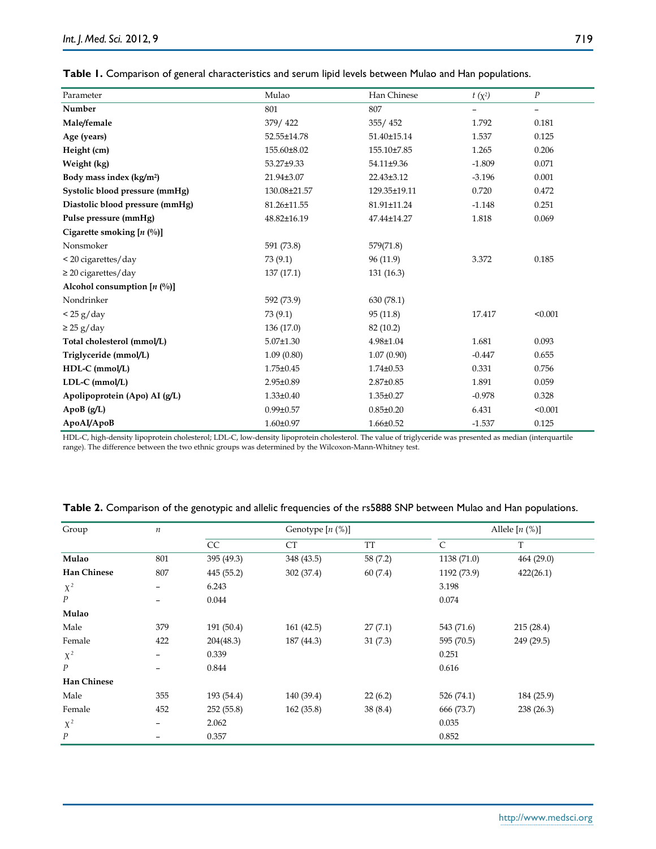| Parameter                              | Mulao           | Han Chinese     | $t(x^2)$          | $\boldsymbol{P}$         |  |
|----------------------------------------|-----------------|-----------------|-------------------|--------------------------|--|
| Number                                 | 801             | 807             | $\qquad \qquad -$ | $\overline{\phantom{0}}$ |  |
| Male/female                            | 379/422         | 355/452         | 1.792             | 0.181                    |  |
| Age (years)                            | 52.55±14.78     | 51.40±15.14     | 1.537             | 0.125                    |  |
| Height (cm)                            | 155.60±8.02     | 155.10±7.85     | 1.265             | 0.206                    |  |
| Weight (kg)                            | 53.27±9.33      | 54.11±9.36      | $-1.809$          | 0.071                    |  |
| Body mass index (kg/m <sup>2</sup> )   | 21.94±3.07      | 22.43±3.12      | $-3.196$          | 0.001                    |  |
| Systolic blood pressure (mmHg)         | 130.08±21.57    | 129.35±19.11    | 0.720             | 0.472                    |  |
| Diastolic blood pressure (mmHg)        | 81.26±11.55     | 81.91±11.24     | $-1.148$          | 0.251                    |  |
| Pulse pressure (mmHg)                  | 48.82±16.19     | 47.44±14.27     | 1.818             | 0.069                    |  |
| Cigarette smoking $[n \binom{0}{0}]$   |                 |                 |                   |                          |  |
| Nonsmoker                              | 591 (73.8)      | 579(71.8)       |                   |                          |  |
| < 20 cigarettes/day                    | 73(9.1)         | 96 (11.9)       | 3.372             | 0.185                    |  |
| $\geq$ 20 cigarettes/day               | 137(17.1)       | 131(16.3)       |                   |                          |  |
| Alcohol consumption $[n \binom{0}{0}]$ |                 |                 |                   |                          |  |
| Nondrinker                             | 592 (73.9)      | 630(78.1)       |                   |                          |  |
| < 25 g/day                             | 73(9.1)         | 95(11.8)        | 17.417            | < 0.001                  |  |
| $\geq$ 25 g/day                        | 136 (17.0)      | 82 (10.2)       |                   |                          |  |
| Total cholesterol (mmol/L)             | $5.07 \pm 1.30$ | 4.98±1.04       | 1.681             | 0.093                    |  |
| Triglyceride (mmol/L)                  | 1.09(0.80)      | 1.07(0.90)      | $-0.447$          | 0.655                    |  |
| HDL-C (mmol/L)                         | 1.75±0.45       | $1.74 \pm 0.53$ | 0.331             | 0.756                    |  |
| LDL-C (mmol/L)                         | 2.95±0.89       | $2.87 \pm 0.85$ | 1.891             | 0.059                    |  |
| Apolipoprotein (Apo) AI (g/L)          | $1.33 \pm 0.40$ | $1.35 \pm 0.27$ | $-0.978$          | 0.328                    |  |
| ApoB (g/L)                             | $0.99 \pm 0.57$ | $0.85 \pm 0.20$ | 6.431             | < 0.001                  |  |
| ApoAI/ApoB                             | $1.60 \pm 0.97$ | $1.66 \pm 0.52$ | $-1.537$          | 0.125                    |  |

|  |  |  | Table 1. Comparison of general characteristics and serum lipid levels between Mulao and Han populations |  |  |
|--|--|--|---------------------------------------------------------------------------------------------------------|--|--|
|--|--|--|---------------------------------------------------------------------------------------------------------|--|--|

HDL-C, high-density lipoprotein cholesterol; LDL-C, low-density lipoprotein cholesterol. The value of triglyceride was presented as median (interquartile

range). The difference between the two ethnic groups was determined by the Wilcoxon-Mann-Whitney test.

| Group              | $\boldsymbol{n}$ | Genotype $[n \, (%)]$ |            | Allele $[n \, (%)]$ |             |            |
|--------------------|------------------|-----------------------|------------|---------------------|-------------|------------|
|                    |                  | CC                    | CT         | TT                  | C           | T          |
| Mulao              | 801              | 395 (49.3)            | 348 (43.5) | 58 (7.2)            | 1138 (71.0) | 464 (29.0) |
| <b>Han Chinese</b> | 807              | 445 (55.2)            | 302 (37.4) | 60(7.4)             | 1192 (73.9) | 422(26.1)  |
| $X^2$              |                  | 6.243                 |            |                     | 3.198       |            |
| $\boldsymbol{P}$   |                  | 0.044                 |            |                     | 0.074       |            |
| Mulao              |                  |                       |            |                     |             |            |
| Male               | 379              | 191 (50.4)            | 161(42.5)  | 27(7.1)             | 543 (71.6)  | 215(28.4)  |
| Female             | 422              | 204(48.3)             | 187 (44.3) | 31(7.3)             | 595 (70.5)  | 249 (29.5) |
| $X^2$              | -                | 0.339                 |            |                     | 0.251       |            |
| $\boldsymbol{P}$   |                  | 0.844                 |            |                     | 0.616       |            |
| <b>Han Chinese</b> |                  |                       |            |                     |             |            |
| Male               | 355              | 193 (54.4)            | 140 (39.4) | 22(6.2)             | 526 (74.1)  | 184 (25.9) |
| Female             | 452              | 252(55.8)             | 162 (35.8) | 38(8.4)             | 666 (73.7)  | 238(26.3)  |
| $X^2$              |                  | 2.062                 |            |                     | 0.035       |            |
| $\boldsymbol{P}$   |                  | 0.357                 |            |                     | 0.852       |            |

| Table 2. Comparison of the genotypic and allelic frequencies of the rs5888 SNP between Mulao and Han populations |  |
|------------------------------------------------------------------------------------------------------------------|--|
|------------------------------------------------------------------------------------------------------------------|--|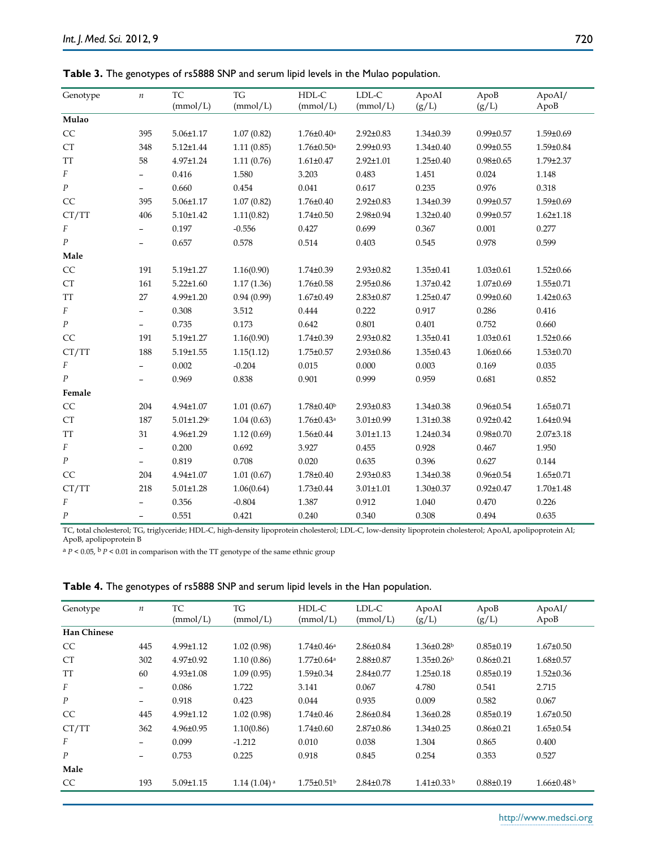| Genotype                                           | $\,n$                    | TC                | TG         | HDL-C                        | LDL-C           | ApoAI           | ApoB            | ApoAI/          |
|----------------------------------------------------|--------------------------|-------------------|------------|------------------------------|-----------------|-----------------|-----------------|-----------------|
|                                                    |                          | (mmol/L)          | (mmol/L)   | (mmol/L)                     | (mmol/L)        | $(g/L)$         | (g/L)           | ApoB            |
| Mulao                                              |                          |                   |            |                              |                 |                 |                 |                 |
| $\rm CC$                                           | 395                      | $5.06 \pm 1.17$   | 1.07(0.82) | $1.76 \pm 0.40^{\rm a}$      | $2.92 \pm 0.83$ | $1.34 \pm 0.39$ | $0.99 \pm 0.57$ | 1.59±0.69       |
| CT                                                 | 348                      | $5.12 \pm 1.44$   | 1.11(0.85) | $1.76 \pm 0.50$ <sup>a</sup> | $2.99 \pm 0.93$ | $1.34 \pm 0.40$ | $0.99 \pm 0.55$ | 1.59±0.84       |
| <b>TT</b>                                          | 58                       | 4.97±1.24         | 1.11(0.76) | $1.61 \pm 0.47$              | $2.92 \pm 1.01$ | $1.25 \pm 0.40$ | $0.98 \pm 0.65$ | 1.79±2.37       |
| F                                                  | $\qquad \qquad -$        | 0.416             | 1.580      | 3.203                        | 0.483           | 1.451           | 0.024           | 1.148           |
| $\cal P$                                           | $\qquad \qquad -$        | 0.660             | 0.454      | 0.041                        | 0.617           | 0.235           | 0.976           | 0.318           |
| CC                                                 | 395                      | $5.06 \pm 1.17$   | 1.07(0.82) | 1.76±0.40                    | $2.92 \pm 0.83$ | $1.34 \pm 0.39$ | $0.99 \pm 0.57$ | 1.59±0.69       |
| CT/TT                                              | 406                      | $5.10 \pm 1.42$   | 1.11(0.82) | $1.74 \pm 0.50$              | 2.98±0.94       | $1.32 \pm 0.40$ | $0.99 \pm 0.57$ | $1.62 \pm 1.18$ |
| $\cal F$                                           |                          | 0.197             | $-0.556$   | 0.427                        | 0.699           | 0.367           | 0.001           | 0.277           |
| $\boldsymbol{P}$                                   | $\qquad \qquad -$        | 0.657             | 0.578      | 0.514                        | 0.403           | 0.545           | 0.978           | 0.599           |
| Male                                               |                          |                   |            |                              |                 |                 |                 |                 |
| $\rm CC$                                           | 191                      | 5.19±1.27         | 1.16(0.90) | $1.74 \pm 0.39$              | $2.93 \pm 0.82$ | $1.35 \pm 0.41$ | $1.03 \pm 0.61$ | $1.52 \pm 0.66$ |
| CT                                                 | 161                      | $5.22 \pm 1.60$   | 1.17(1.36) | 1.76±0.58                    | 2.95±0.86       | $1.37 \pm 0.42$ | $1.07 \pm 0.69$ | $1.55 \pm 0.71$ |
| $\ensuremath{\mathcal{T}}\ensuremath{\mathcal{T}}$ | 27                       | 4.99±1.20         | 0.94(0.99) | $1.67 \pm 0.49$              | $2.83 \pm 0.87$ | $1.25 \pm 0.47$ | $0.99 \pm 0.60$ | $1.42 \pm 0.63$ |
| F                                                  | $\qquad \qquad -$        | 0.308             | 3.512      | 0.444                        | 0.222           | 0.917           | 0.286           | 0.416           |
| $\cal P$                                           | $\overline{\phantom{0}}$ | 0.735             | 0.173      | 0.642                        | 0.801           | 0.401           | 0.752           | 0.660           |
| CC                                                 | 191                      | 5.19±1.27         | 1.16(0.90) | $1.74 \pm 0.39$              | $2.93 \pm 0.82$ | $1.35 \pm 0.41$ | $1.03 \pm 0.61$ | $1.52 \pm 0.66$ |
| CT/TT                                              | 188                      | $5.19 \pm 1.55$   | 1.15(1.12) | $1.75 \pm 0.57$              | 2.93±0.86       | $1.35 \pm 0.43$ | $1.06 \pm 0.66$ | $1.53 \pm 0.70$ |
| F                                                  | $\overline{\phantom{0}}$ | 0.002             | $-0.204$   | 0.015                        | 0.000           | 0.003           | 0.169           | 0.035           |
| $\boldsymbol{P}$                                   |                          | 0.969             | 0.838      | 0.901                        | 0.999           | 0.959           | 0.681           | 0.852           |
| Female                                             |                          |                   |            |                              |                 |                 |                 |                 |
| CC                                                 | 204                      | $4.94 \pm 1.07$   | 1.01(0.67) | $1.78 \pm 0.40^{\circ}$      | $2.93 \pm 0.83$ | $1.34 \pm 0.38$ | $0.96 \pm 0.54$ | $1.65 \pm 0.71$ |
| <b>CT</b>                                          | 187                      | $5.01 \pm 1.29$ c | 1.04(0.63) | $1.76 \pm 0.43$ <sup>a</sup> | $3.01 \pm 0.99$ | $1.31 \pm 0.38$ | $0.92 \pm 0.42$ | $1.64 \pm 0.94$ |
| TT                                                 | 31                       | 4.96±1.29         | 1.12(0.69) | 1.56±0.44                    | $3.01 \pm 1.13$ | $1.24 \pm 0.34$ | $0.98 + 0.70$   | $2.07 \pm 3.18$ |
| F                                                  | $\overline{\phantom{a}}$ | 0.200             | 0.692      | 3.927                        | 0.455           | 0.928           | 0.467           | 1.950           |
| $\cal P$                                           | $\qquad \qquad -$        | 0.819             | 0.708      | 0.020                        | 0.635           | 0.396           | 0.627           | 0.144           |
| CC                                                 | 204                      | 4.94±1.07         | 1.01(0.67) | 1.78±0.40                    | $2.93 \pm 0.83$ | $1.34 \pm 0.38$ | $0.96 \pm 0.54$ | $1.65 \pm 0.71$ |
| CT/TT                                              | 218                      | $5.01 \pm 1.28$   | 1.06(0.64) | $1.73 \pm 0.44$              | $3.01 \pm 1.01$ | $1.30 \pm 0.37$ | $0.92 \pm 0.47$ | 1.70±1.48       |
| F                                                  |                          | 0.356             | $-0.804$   | 1.387                        | 0.912           | 1.040           | 0.470           | 0.226           |
| $\boldsymbol{P}$                                   | $\overline{\phantom{a}}$ | 0.551             | 0.421      | 0.240                        | 0.340           | 0.308           | 0.494           | 0.635           |

**Table 3.** The genotypes of rs5888 SNP and serum lipid levels in the Mulao population.

TC, total cholesterol; TG, triglyceride; HDL-C, high-density lipoprotein cholesterol; LDL-C, low-density lipoprotein cholesterol; ApoAI, apolipoprotein AI; ApoB, apolipoprotein B

 $^{\rm a}$   $P$  < 0.05,  $^{\rm b}$   $P$  < 0.01 in comparison with the TT genotype of the same ethnic group

|  | Table 4. The genotypes of rs5888 SNP and serum lipid levels in the Han population. |  |  |
|--|------------------------------------------------------------------------------------|--|--|
|--|------------------------------------------------------------------------------------|--|--|

| Genotype           | $\boldsymbol{n}$             | TC<br>(mmol/L)  | TG<br>(mmol/L)            | HDL-C<br>(mmol/L)            | LDL-C<br>(mmol/L) | ApoAI<br>(g/L)    | ApoB<br>(g/L)   | ApoAI/<br>ApoB  |
|--------------------|------------------------------|-----------------|---------------------------|------------------------------|-------------------|-------------------|-----------------|-----------------|
| <b>Han Chinese</b> |                              |                 |                           |                              |                   |                   |                 |                 |
| <sub>CC</sub>      | 445                          | $4.99 \pm 1.12$ | 1.02(0.98)                | $1.74 \pm 0.46^{\text{a}}$   | $2.86 \pm 0.84$   | $1.36 \pm 0.28$   | $0.85 \pm 0.19$ | $1.67 \pm 0.50$ |
| <b>CT</b>          | 302                          | $4.97 \pm 0.92$ | 1.10(0.86)                | $1.77 \pm 0.64$ <sup>a</sup> | $2.88 \pm 0.87$   | $1.35 \pm 0.26$   | $0.86 \pm 0.21$ | $1.68 \pm 0.57$ |
| TT                 | 60                           | $4.93 \pm 1.08$ | 1.09(0.95)                | $1.59 \pm 0.34$              | $2.84 \pm 0.77$   | $1.25 \pm 0.18$   | $0.85 \pm 0.19$ | $1.52 \pm 0.36$ |
| F                  | $\qquad \qquad \blacksquare$ | 0.086           | 1.722                     | 3.141                        | 0.067             | 4.780             | 0.541           | 2.715           |
| $\boldsymbol{P}$   | $\qquad \qquad -$            | 0.918           | 0.423                     | 0.044                        | 0.935             | 0.009             | 0.582           | 0.067           |
| <b>CC</b>          | 445                          | $4.99 \pm 1.12$ | 1.02(0.98)                | $1.74 \pm 0.46$              | $2.86 \pm 0.84$   | $1.36 \pm 0.28$   | $0.85 \pm 0.19$ | $1.67 \pm 0.50$ |
| CT/TT              | 362                          | $4.96 \pm 0.95$ | 1.10(0.86)                | $1.74 \pm 0.60$              | $2.87 \pm 0.86$   | $1.34 \pm 0.25$   | $0.86 \pm 0.21$ | $1.65 \pm 0.54$ |
| F                  | $\overline{\phantom{m}}$     | 0.099           | $-1.212$                  | 0.010                        | 0.038             | 1.304             | 0.865           | 0.400           |
| $\boldsymbol{P}$   | $\overline{\phantom{0}}$     | 0.753           | 0.225                     | 0.918                        | 0.845             | 0.254             | 0.353           | 0.527           |
| Male               |                              |                 |                           |                              |                   |                   |                 |                 |
| CC.                | 193                          | $5.09 \pm 1.15$ | $1.14(1.04)$ <sup>a</sup> | $1.75 \pm 0.51$ <sup>b</sup> | $2.84 \pm 0.78$   | $1.41 \pm 0.33$ b | $0.88 \pm 0.19$ | $1.66 \pm 0.48$ |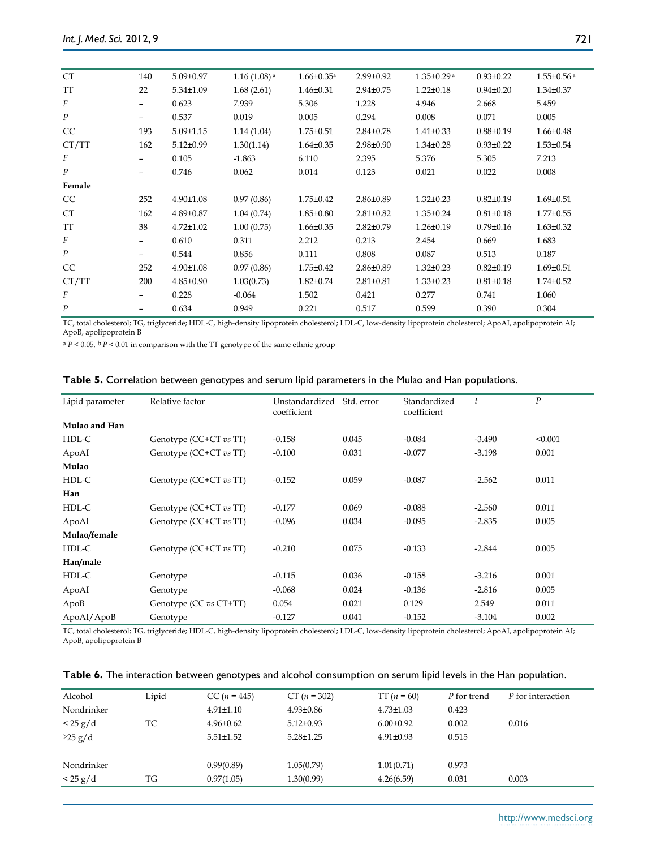| <b>CT</b>        | 140                      | $5.09 \pm 0.97$ | $1.16(1.08)$ <sup>a</sup> | $1.66 \pm 0.35$ <sup>a</sup> | $2.99 \pm 0.92$ | $1.35 \pm 0.29$ <sup>a</sup> | $0.93 \pm 0.22$ | $1.55 \pm 0.56$ <sup>a</sup> |
|------------------|--------------------------|-----------------|---------------------------|------------------------------|-----------------|------------------------------|-----------------|------------------------------|
| TT               | 22                       | 5.34±1.09       | 1.68(2.61)                | $1.46 \pm 0.31$              | $2.94 \pm 0.75$ | $1.22 \pm 0.18$              | $0.94 \pm 0.20$ | $1.34 \pm 0.37$              |
| F                |                          | 0.623           | 7.939                     | 5.306                        | 1.228           | 4.946                        | 2.668           | 5.459                        |
| $\boldsymbol{P}$ |                          | 0.537           | 0.019                     | 0.005                        | 0.294           | 0.008                        | 0.071           | 0.005                        |
| CC               | 193                      | $5.09 \pm 1.15$ | 1.14(1.04)                | $1.75 \pm 0.51$              | $2.84 \pm 0.78$ | $1.41 \pm 0.33$              | $0.88 \pm 0.19$ | $1.66 \pm 0.48$              |
| CT/TT            | 162                      | $5.12 \pm 0.99$ | 1.30(1.14)                | $1.64 \pm 0.35$              | $2.98 \pm 0.90$ | $1.34 \pm 0.28$              | $0.93 \pm 0.22$ | $1.53 \pm 0.54$              |
| F                |                          | 0.105           | $-1.863$                  | 6.110                        | 2.395           | 5.376                        | 5.305           | 7.213                        |
| $\boldsymbol{P}$ | $\overline{\phantom{m}}$ | 0.746           | 0.062                     | 0.014                        | 0.123           | 0.021                        | 0.022           | 0.008                        |
| Female           |                          |                 |                           |                              |                 |                              |                 |                              |
| CC               | 252                      | 4.90±1.08       | 0.97(0.86)                | $1.75 \pm 0.42$              | $2.86 \pm 0.89$ | $1.32 \pm 0.23$              | $0.82{\pm}0.19$ | $1.69 \pm 0.51$              |
| <b>CT</b>        | 162                      | 4.89±0.87       | 1.04(0.74)                | $1.85 \pm 0.80$              | $2.81 \pm 0.82$ | $1.35 \pm 0.24$              | $0.81 \pm 0.18$ | $1.77 \pm 0.55$              |
| TT               | 38                       | $4.72 \pm 1.02$ | 1.00(0.75)                | $1.66 \pm 0.35$              | $2.82 \pm 0.79$ | $1.26 \pm 0.19$              | $0.79 \pm 0.16$ | $1.63 \pm 0.32$              |
| F                |                          | 0.610           | 0.311                     | 2.212                        | 0.213           | 2.454                        | 0.669           | 1.683                        |
| $\boldsymbol{P}$ |                          | 0.544           | 0.856                     | 0.111                        | 0.808           | 0.087                        | 0.513           | 0.187                        |
| CC               | 252                      | $4.90 \pm 1.08$ | 0.97(0.86)                | $1.75 \pm 0.42$              | $2.86 \pm 0.89$ | $1.32 \pm 0.23$              | $0.82{\pm}0.19$ | $1.69 \pm 0.51$              |
| CT/TT            | 200                      | $4.85 \pm 0.90$ | 1.03(0.73)                | $1.82 \pm 0.74$              | $2.81 \pm 0.81$ | $1.33 \pm 0.23$              | $0.81 \pm 0.18$ | $1.74 \pm 0.52$              |
| F                |                          | 0.228           | $-0.064$                  | 1.502                        | 0.421           | 0.277                        | 0.741           | 1.060                        |
| $\overline{P}$   |                          | 0.634           | 0.949                     | 0.221                        | 0.517           | 0.599                        | 0.390           | 0.304                        |

TC, total cholesterol; TG, triglyceride; HDL-C, high-density lipoprotein cholesterol; LDL-C, low-density lipoprotein cholesterol; ApoAI, apolipoprotein AI; ApoB, apolipoprotein B

 $^{\rm a}$   $P$  < 0.05,  $^{\rm b}$   $P$  < 0.01 in comparison with the TT genotype of the same ethnic group

|  |  | Table 5. Correlation between genotypes and serum lipid parameters in the Mulao and Han populations. |  |  |  |
|--|--|-----------------------------------------------------------------------------------------------------|--|--|--|
|--|--|-----------------------------------------------------------------------------------------------------|--|--|--|

| Lipid parameter | Relative factor        | Unstandardized<br>coefficient | Std. error | Standardized<br>coefficient | $\ddot{t}$ | $\boldsymbol{P}$ |
|-----------------|------------------------|-------------------------------|------------|-----------------------------|------------|------------------|
| Mulao and Han   |                        |                               |            |                             |            |                  |
| HDL-C           | Genotype (CC+CT vs TT) | $-0.158$                      | 0.045      | $-0.084$                    | $-3.490$   | < 0.001          |
| ApoAI           | Genotype (CC+CT vs TT) | $-0.100$                      | 0.031      | $-0.077$                    | $-3.198$   | 0.001            |
| Mulao           |                        |                               |            |                             |            |                  |
| HDL-C           | Genotype (CC+CT vs TT) | $-0.152$                      | 0.059      | $-0.087$                    | $-2.562$   | 0.011            |
| Han             |                        |                               |            |                             |            |                  |
| HDL-C           | Genotype (CC+CT vs TT) | $-0.177$                      | 0.069      | $-0.088$                    | $-2.560$   | 0.011            |
| ApoAI           | Genotype (CC+CT vs TT) | $-0.096$                      | 0.034      | $-0.095$                    | $-2.835$   | 0.005            |
| Mulao/female    |                        |                               |            |                             |            |                  |
| HDL-C           | Genotype (CC+CT vs TT) | $-0.210$                      | 0.075      | $-0.133$                    | $-2.844$   | 0.005            |
| Han/male        |                        |                               |            |                             |            |                  |
| HDL-C           | Genotype               | $-0.115$                      | 0.036      | $-0.158$                    | $-3.216$   | 0.001            |
| ApoAI           | Genotype               | $-0.068$                      | 0.024      | $-0.136$                    | $-2.816$   | 0.005            |
| ApoB            | Genotype (CC vs CT+TT) | 0.054                         | 0.021      | 0.129                       | 2.549      | 0.011            |
| ApoAI/ApoB      | Genotype               | $-0.127$                      | 0.041      | $-0.152$                    | $-3.104$   | 0.002            |

TC, total cholesterol; TG, triglyceride; HDL-C, high-density lipoprotein cholesterol; LDL-C, low-density lipoprotein cholesterol; ApoAI, apolipoprotein AI; ApoB, apolipoprotein B

| Table 6. The interaction between genotypes and alcohol consumption on serum lipid levels in the Han population. |  |  |
|-----------------------------------------------------------------------------------------------------------------|--|--|
|-----------------------------------------------------------------------------------------------------------------|--|--|

| Alcohol        | Lipid | $CC (n = 445)$  | $CT (n = 302)$  | TT $(n = 60)$   | P for trend | P for interaction |
|----------------|-------|-----------------|-----------------|-----------------|-------------|-------------------|
| Nondrinker     |       | $4.91 \pm 1.10$ | $4.93 \pm 0.86$ | $4.73 \pm 1.03$ | 0.423       |                   |
| $\rm < 25 g/d$ | TC    | $4.96 \pm 0.62$ | $5.12 \pm 0.93$ | $6.00 \pm 0.92$ | 0.002       | 0.016             |
| $\geq$ 25 g/d  |       | $5.51 \pm 1.52$ | $5.28 \pm 1.25$ | $4.91 \pm 0.93$ | 0.515       |                   |
|                |       |                 |                 |                 |             |                   |
| Nondrinker     |       | 0.99(0.89)      | 1.05(0.79)      | 1.01(0.71)      | 0.973       |                   |
| < 25 g/d       | TG    | 0.97(1.05)      | 1.30(0.99)      | 4.26(6.59)      | 0.031       | 0.003             |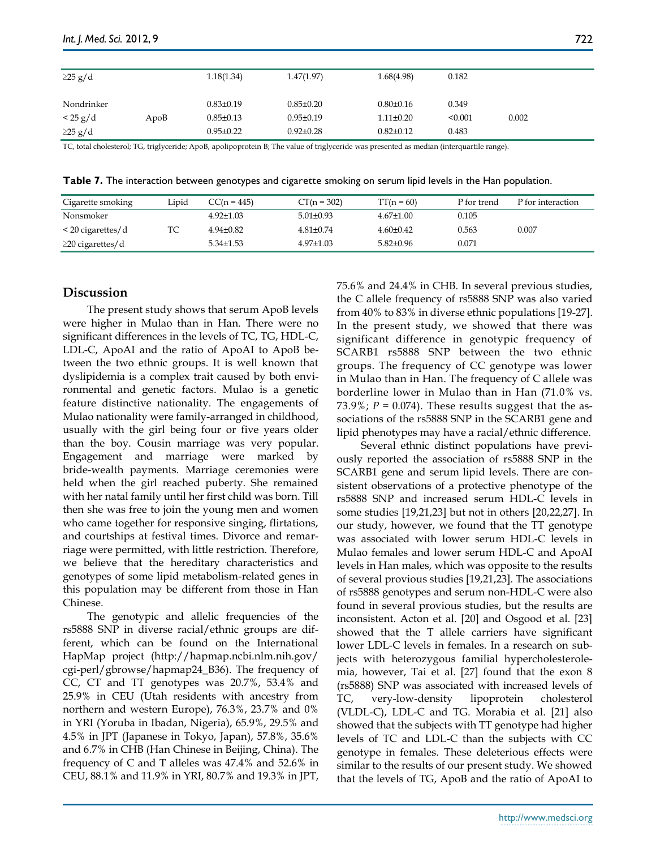| $\geq$ 25 g/d  |      | 1.18(1.34)      | 1.47(1.97)      | 1.68(4.98)      | 0.182   |       |
|----------------|------|-----------------|-----------------|-----------------|---------|-------|
| Nondrinker     |      | $0.83 \pm 0.19$ | $0.85 \pm 0.20$ | $0.80 \pm 0.16$ | 0.349   |       |
| $\rm < 25 g/d$ | ApoB | $0.85 \pm 0.13$ | $0.95 \pm 0.19$ | $1.11 \pm 0.20$ | < 0.001 | 0.002 |
| $\geq$ 25 g/d  |      | $0.95 \pm 0.22$ | $0.92 \pm 0.28$ | $0.82{\pm}0.12$ | 0.483   |       |

TC, total cholesterol; TG, triglyceride; ApoB, apolipoprotein B; The value of triglyceride was presented as median (interquartile range).

**Table 7.** The interaction between genotypes and cigarette smoking on serum lipid levels in the Han population.

| Cigarette smoking      | Lipid | CC(n = 445)     | $CT(n = 302)$   | $TT(n = 60)$    | P for trend | P for interaction |
|------------------------|-------|-----------------|-----------------|-----------------|-------------|-------------------|
| Nonsmoker              |       | $4.92 \pm 1.03$ | $5.01 \pm 0.93$ | $4.67 \pm 1.00$ | 0.105       |                   |
| $\leq$ 20 cigarettes/d | ТC    | $4.94\pm0.82$   | $4.81 \pm 0.74$ | $4.60 \pm 0.42$ | 0.563       | 0.007             |
| $\geq$ 20 cigarettes/d |       | $5.34 \pm 1.53$ | $4.97 \pm 1.03$ | $5.82 \pm 0.96$ | 0.071       |                   |

## **Discussion**

The present study shows that serum ApoB levels were higher in Mulao than in Han. There were no significant differences in the levels of TC, TG, HDL-C, LDL-C, ApoAI and the ratio of ApoAI to ApoB between the two ethnic groups. It is well known that dyslipidemia is a complex trait caused by both environmental and genetic factors. Mulao is a genetic feature distinctive nationality. The engagements of Mulao nationality were family-arranged in childhood, usually with the girl being four or five years older than the boy. Cousin marriage was very popular. Engagement and marriage were marked by bride-wealth payments. Marriage ceremonies were held when the girl reached puberty. She remained with her natal family until her first child was born. Till then she was free to join the young men and women who came together for responsive singing, flirtations, and courtships at festival times. Divorce and remarriage were permitted, with little restriction. Therefore, we believe that the hereditary characteristics and genotypes of some lipid metabolism-related genes in this population may be different from those in Han Chinese.

The genotypic and allelic frequencies of the rs5888 SNP in diverse racial/ethnic groups are different, which can be found on the International HapMap project (http://hapmap.ncbi.nlm.nih.gov/ cgi-perl/gbrowse/hapmap24\_B36). The frequency of CC, CT and TT genotypes was 20.7%, 53.4% and 25.9% in CEU (Utah residents with ancestry from northern and western Europe), 76.3%, 23.7% and 0% in YRI (Yoruba in Ibadan, Nigeria), 65.9%, 29.5% and 4.5% in JPT (Japanese in Tokyo, Japan), 57.8%, 35.6% and 6.7% in CHB (Han Chinese in Beijing, China). The frequency of C and T alleles was 47.4% and 52.6% in CEU, 88.1% and 11.9% in YRI, 80.7% and 19.3% in JPT, 75.6% and 24.4% in CHB. In several previous studies, the C allele frequency of rs5888 SNP was also varied from 40% to 83% in diverse ethnic populations [19-27]. In the present study, we showed that there was significant difference in genotypic frequency of SCARB1 rs5888 SNP between the two ethnic groups. The frequency of CC genotype was lower in Mulao than in Han. The frequency of C allele was borderline lower in Mulao than in Han (71.0% vs. 73.9%;  $P = 0.074$ ). These results suggest that the associations of the rs5888 SNP in the SCARB1 gene and lipid phenotypes may have a racial/ethnic difference.

Several ethnic distinct populations have previously reported the association of rs5888 SNP in the SCARB1 gene and serum lipid levels. There are consistent observations of a protective phenotype of the rs5888 SNP and increased serum HDL-C levels in some studies [19,21,23] but not in others [20,22,27]. In our study, however, we found that the TT genotype was associated with lower serum HDL-C levels in Mulao females and lower serum HDL-C and ApoAI levels in Han males, which was opposite to the results of several provious studies [19,21,23]. The associations of rs5888 genotypes and serum non-HDL-C were also found in several provious studies, but the results are inconsistent. Acton et al. [20] and Osgood et al. [23] showed that the T allele carriers have significant lower LDL-C levels in females. In a research on subjects with heterozygous familial hypercholesterolemia, however, Tai et al. [27] found that the exon 8 (rs5888) SNP was associated with increased levels of TC, very-low-density lipoprotein cholesterol (VLDL-C), LDL-C and TG. Morabia et al. [21] also showed that the subjects with TT genotype had higher levels of TC and LDL-C than the subjects with CC genotype in females. These deleterious effects were similar to the results of our present study. We showed that the levels of TG, ApoB and the ratio of ApoAI to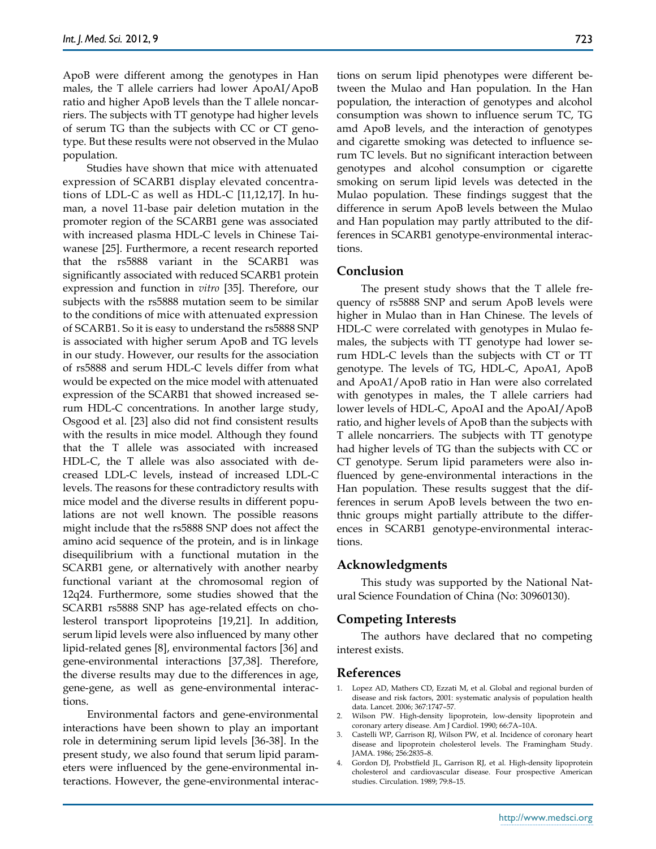ApoB were different among the genotypes in Han males, the T allele carriers had lower ApoAI/ApoB ratio and higher ApoB levels than the T allele noncarriers. The subjects with TT genotype had higher levels of serum TG than the subjects with CC or CT genotype. But these results were not observed in the Mulao population.

Studies have shown that mice with attenuated expression of SCARB1 display elevated concentrations of LDL-C as well as HDL-C [11,12,17]. In human, a novel 11-base pair deletion mutation in the promoter region of the SCARB1 gene was associated with increased plasma HDL-C levels in Chinese Taiwanese [25]. Furthermore, a recent research reported that the rs5888 variant in the SCARB1 was significantly associated with reduced SCARB1 protein expression and function in *vitro* [35]. Therefore, our subjects with the rs5888 mutation seem to be similar to the conditions of mice with attenuated expression of SCARB1. So it is easy to understand the rs5888 SNP is associated with higher serum ApoB and TG levels in our study. However, our results for the association of rs5888 and serum HDL-C levels differ from what would be expected on the mice model with attenuated expression of the SCARB1 that showed increased serum HDL-C concentrations. In another large study, Osgood et al. [23] also did not find consistent results with the results in mice model. Although they found that the T allele was associated with increased HDL-C, the T allele was also associated with decreased LDL-C levels, instead of increased LDL-C levels. The reasons for these contradictory results with mice model and the diverse results in different populations are not well known. The possible reasons might include that the rs5888 SNP does not affect the amino acid sequence of the protein, and is in linkage disequilibrium with a functional mutation in the SCARB1 gene, or alternatively with another nearby functional variant at the chromosomal region of 12q24. Furthermore, some studies showed that the SCARB1 rs5888 SNP has age-related effects on cholesterol transport lipoproteins [19,21]. In addition, serum lipid levels were also influenced by many other lipid-related genes [8], environmental factors [36] and gene-environmental interactions [37,38]. Therefore, the diverse results may due to the differences in age, gene-gene, as well as gene-environmental interactions.

Environmental factors and gene-environmental interactions have been shown to play an important role in determining serum lipid levels [36-38]. In the present study, we also found that serum lipid parameters were influenced by the gene-environmental interactions. However, the gene-environmental interactions on serum lipid phenotypes were different between the Mulao and Han population. In the Han population, the interaction of genotypes and alcohol consumption was shown to influence serum TC, TG amd ApoB levels, and the interaction of genotypes and cigarette smoking was detected to influence serum TC levels. But no significant interaction between genotypes and alcohol consumption or cigarette smoking on serum lipid levels was detected in the Mulao population. These findings suggest that the difference in serum ApoB levels between the Mulao and Han population may partly attributed to the differences in SCARB1 genotype-environmental interactions.

## **Conclusion**

The present study shows that the T allele frequency of rs5888 SNP and serum ApoB levels were higher in Mulao than in Han Chinese. The levels of HDL-C were correlated with genotypes in Mulao females, the subjects with TT genotype had lower serum HDL-C levels than the subjects with CT or TT genotype. The levels of TG, HDL-C, ApoA1, ApoB and ApoA1/ApoB ratio in Han were also correlated with genotypes in males, the T allele carriers had lower levels of HDL-C, ApoAI and the ApoAI/ApoB ratio, and higher levels of ApoB than the subjects with T allele noncarriers. The subjects with TT genotype had higher levels of TG than the subjects with CC or CT genotype. Serum lipid parameters were also influenced by gene-environmental interactions in the Han population. These results suggest that the differences in serum ApoB levels between the two enthnic groups might partially attribute to the differences in SCARB1 genotype-environmental interactions.

#### **Acknowledgments**

This study was supported by the National Natural Science Foundation of China (No: 30960130).

## **Competing Interests**

The authors have declared that no competing interest exists.

### **References**

- 1. Lopez AD, Mathers CD, Ezzati M, et al. Global and regional burden of disease and risk factors, 2001: systematic analysis of population health data. Lancet. 2006; 367:1747–57.
- 2. Wilson PW. High-density lipoprotein, low-density lipoprotein and coronary artery disease. Am J Cardiol. 1990; 66:7A–10A.
- 3. Castelli WP, Garrison RJ, Wilson PW, et al. Incidence of coronary heart disease and lipoprotein cholesterol levels. The Framingham Study. JAMA. 1986; 256:2835–8.
- 4. Gordon DJ, Probstfield JL, Garrison RJ, et al. High-density lipoprotein cholesterol and cardiovascular disease. Four prospective American studies. Circulation. 1989; 79:8–15.